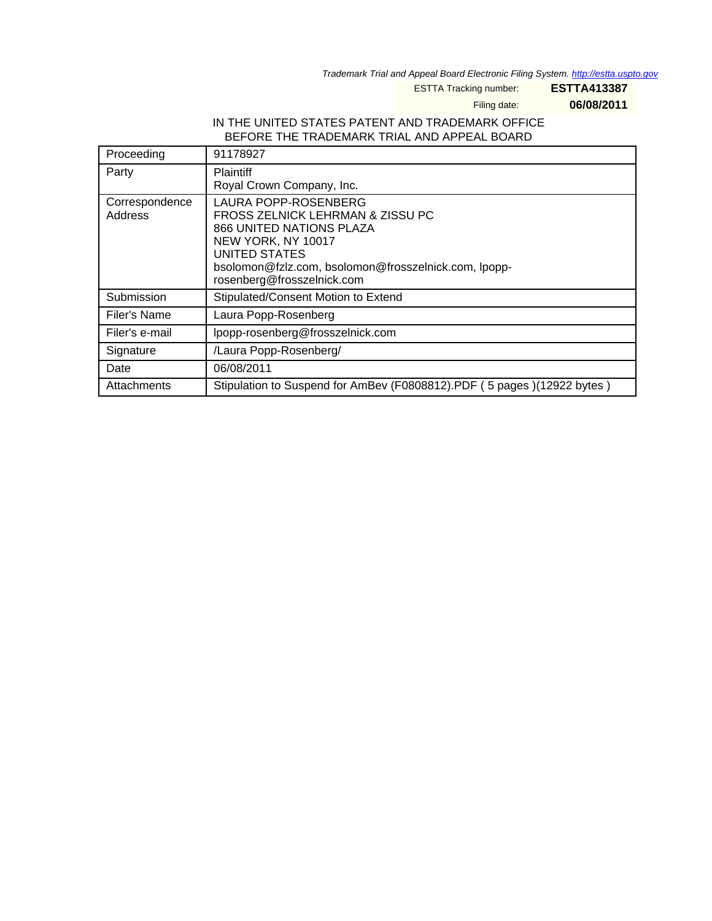Trademark Trial and Appeal Board Electronic Filing System. <http://estta.uspto.gov>

ESTTA Tracking number: **ESTTA413387**

Filing date: **06/08/2011**

## IN THE UNITED STATES PATENT AND TRADEMARK OFFICE BEFORE THE TRADEMARK TRIAL AND APPEAL BOARD

| Proceeding                | 91178927                                                                                                                                                                                                                        |
|---------------------------|---------------------------------------------------------------------------------------------------------------------------------------------------------------------------------------------------------------------------------|
| Party                     | <b>Plaintiff</b><br>Royal Crown Company, Inc.                                                                                                                                                                                   |
| Correspondence<br>Address | LAURA POPP-ROSENBERG<br>FROSS ZELNICK LEHRMAN & ZISSU PC<br><b>866 UNITED NATIONS PLAZA</b><br>NEW YORK, NY 10017<br><b>UNITED STATES</b><br>bsolomon@fzlz.com, bsolomon@frosszelnick.com, lpopp-<br>rosenberg@frosszelnick.com |
| Submission                | Stipulated/Consent Motion to Extend                                                                                                                                                                                             |
| Filer's Name              | Laura Popp-Rosenberg                                                                                                                                                                                                            |
| Filer's e-mail            | lpopp-rosenberg@frosszelnick.com                                                                                                                                                                                                |
| Signature                 | /Laura Popp-Rosenberg/                                                                                                                                                                                                          |
| Date                      | 06/08/2011                                                                                                                                                                                                                      |
| Attachments               | Stipulation to Suspend for AmBev (F0808812).PDF (5 pages) (12922 bytes)                                                                                                                                                         |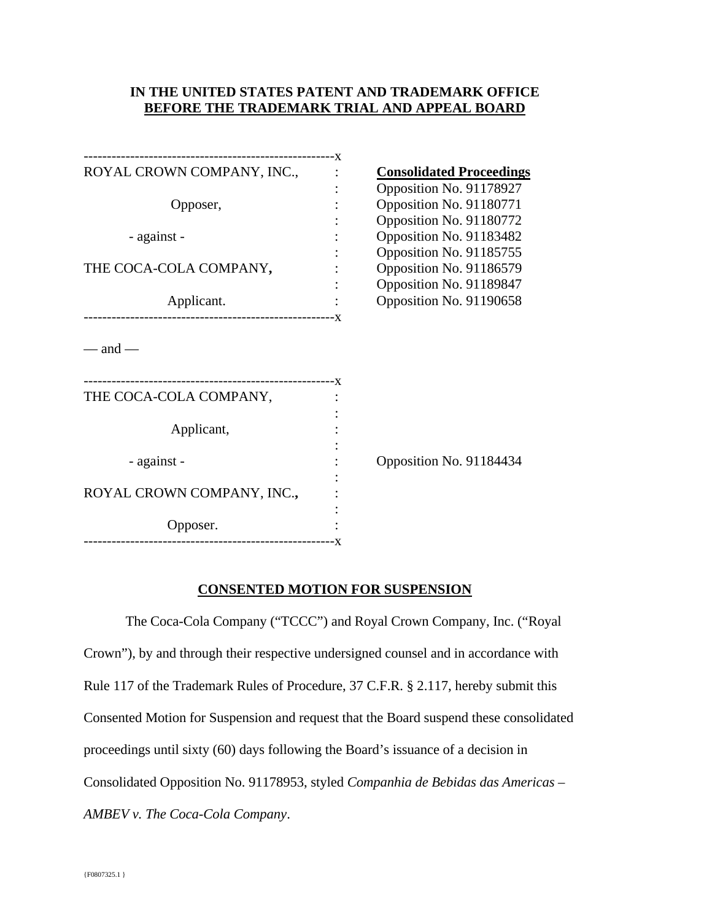### **IN THE UNITED STATES PATENT AND TRADEMARK OFFICE BEFORE THE TRADEMARK TRIAL AND APPEAL BOARD**

| ROYAL CROWN COMPANY, INC.,                 | <b>Consolidated Proceedings</b> |
|--------------------------------------------|---------------------------------|
|                                            | Opposition No. 91178927         |
| Opposer,                                   | Opposition No. 91180771         |
|                                            | Opposition No. 91180772         |
| - against -                                | Opposition No. 91183482         |
|                                            | Opposition No. 91185755         |
| THE COCA-COLA COMPANY,                     | Opposition No. 91186579         |
|                                            | Opposition No. 91189847         |
| Applicant.                                 | Opposition No. 91190658         |
| — and —                                    |                                 |
| THE COCA-COLA COMPANY,                     |                                 |
| Applicant,                                 |                                 |
| - against -                                | Opposition No. 91184434         |
|                                            |                                 |
| ROYAL CROWN COMPANY, INC.,                 |                                 |
| Opposer.<br>-----------------------------X |                                 |
|                                            |                                 |

### **CONSENTED MOTION FOR SUSPENSION**

The Coca-Cola Company ("TCCC") and Royal Crown Company, Inc. ("Royal Crown"), by and through their respective undersigned counsel and in accordance with Rule 117 of the Trademark Rules of Procedure, 37 C.F.R. § 2.117, hereby submit this Consented Motion for Suspension and request that the Board suspend these consolidated proceedings until sixty (60) days following the Board's issuance of a decision in Consolidated Opposition No. 91178953, styled *Companhia de Bebidas das Americas – AMBEV v. The Coca-Cola Company*.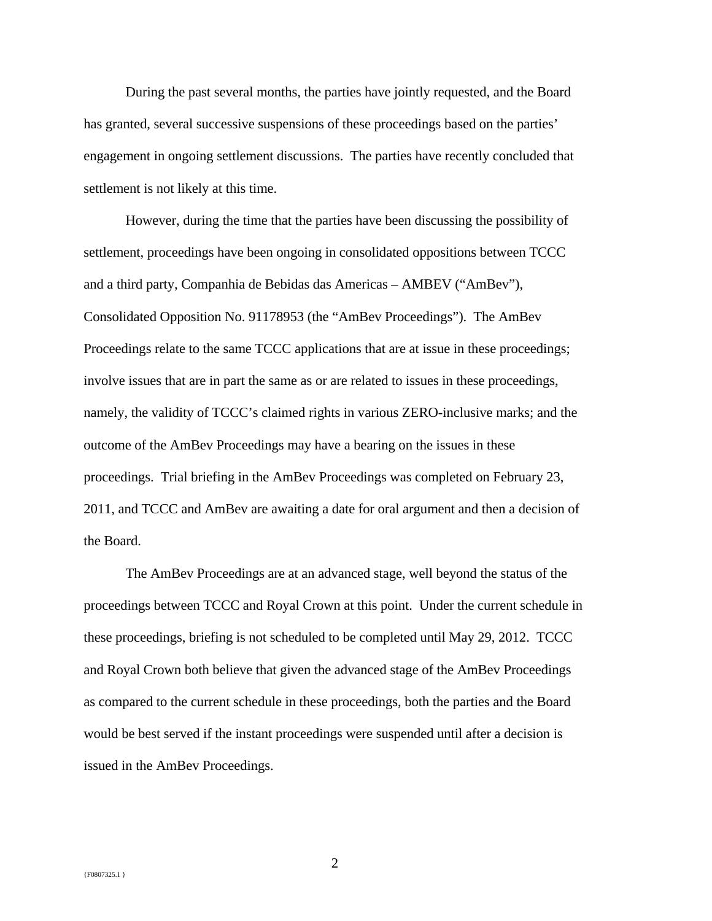During the past several months, the parties have jointly requested, and the Board has granted, several successive suspensions of these proceedings based on the parties' engagement in ongoing settlement discussions. The parties have recently concluded that settlement is not likely at this time.

However, during the time that the parties have been discussing the possibility of settlement, proceedings have been ongoing in consolidated oppositions between TCCC and a third party, Companhia de Bebidas das Americas – AMBEV ("AmBev"), Consolidated Opposition No. 91178953 (the "AmBev Proceedings"). The AmBev Proceedings relate to the same TCCC applications that are at issue in these proceedings; involve issues that are in part the same as or are related to issues in these proceedings, namely, the validity of TCCC's claimed rights in various ZERO-inclusive marks; and the outcome of the AmBev Proceedings may have a bearing on the issues in these proceedings. Trial briefing in the AmBev Proceedings was completed on February 23, 2011, and TCCC and AmBev are awaiting a date for oral argument and then a decision of the Board.

The AmBev Proceedings are at an advanced stage, well beyond the status of the proceedings between TCCC and Royal Crown at this point. Under the current schedule in these proceedings, briefing is not scheduled to be completed until May 29, 2012. TCCC and Royal Crown both believe that given the advanced stage of the AmBev Proceedings as compared to the current schedule in these proceedings, both the parties and the Board would be best served if the instant proceedings were suspended until after a decision is issued in the AmBev Proceedings.

2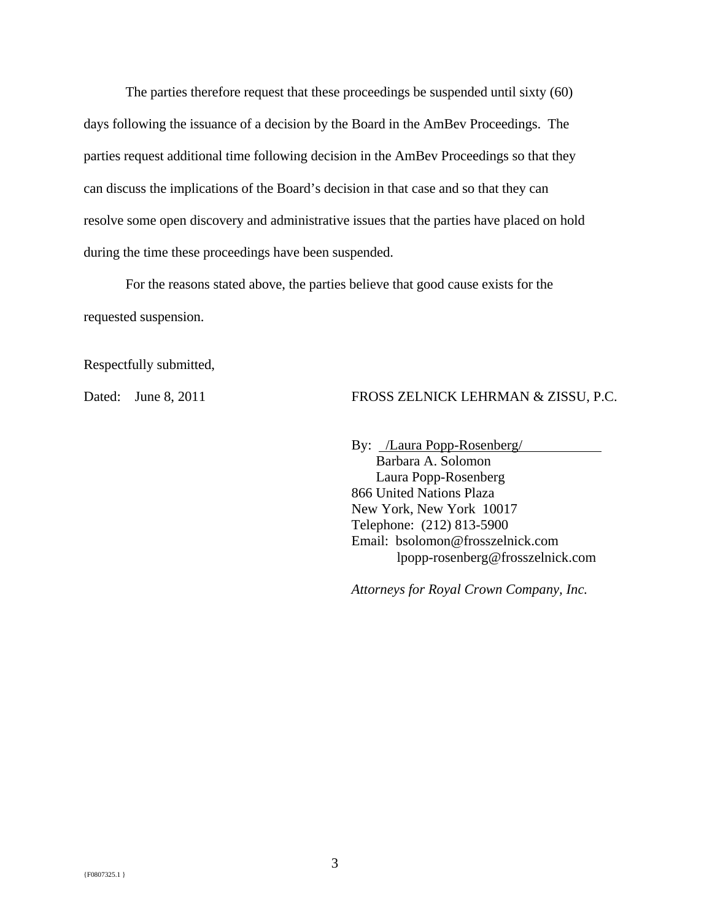The parties therefore request that these proceedings be suspended until sixty (60) days following the issuance of a decision by the Board in the AmBev Proceedings. The parties request additional time following decision in the AmBev Proceedings so that they can discuss the implications of the Board's decision in that case and so that they can resolve some open discovery and administrative issues that the parties have placed on hold during the time these proceedings have been suspended.

For the reasons stated above, the parties believe that good cause exists for the requested suspension.

Respectfully submitted,

#### Dated: June 8, 2011 FROSS ZELNICK LEHRMAN & ZISSU, P.C.

By: /Laura Popp-Rosenberg/

 Barbara A. Solomon Laura Popp-Rosenberg 866 United Nations Plaza New York, New York 10017 Telephone: (212) 813-5900 Email: bsolomon@frosszelnick.com lpopp-rosenberg@frosszelnick.com

*Attorneys for Royal Crown Company, Inc.*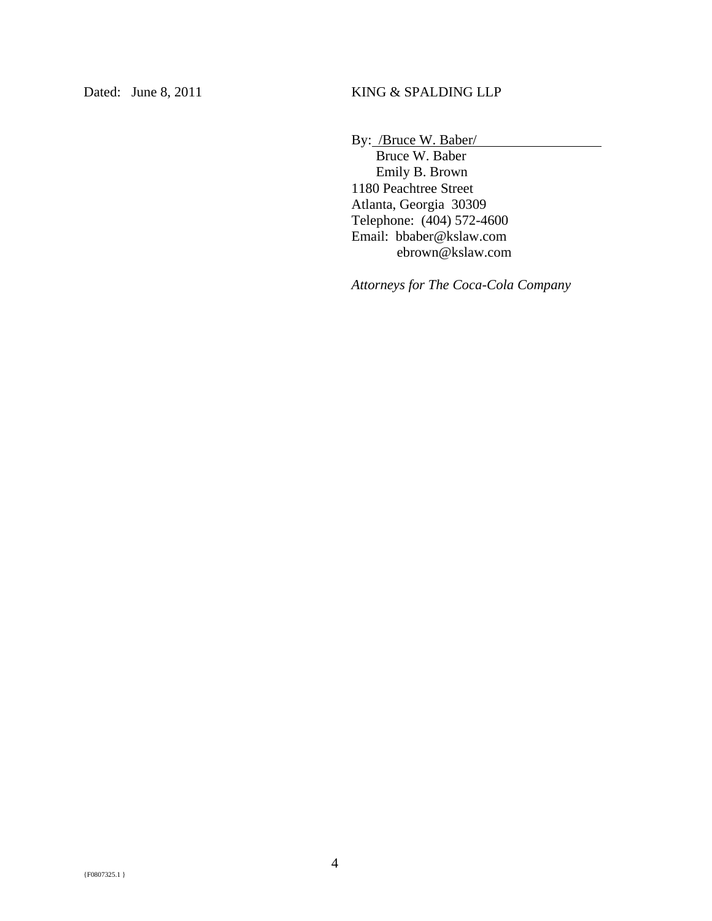By: /Bruce W. Baber/

 Bruce W. Baber Emily B. Brown 1180 Peachtree Street Atlanta, Georgia 30309 Telephone: (404) 572-4600 Email: bbaber@kslaw.com ebrown@kslaw.com

*Attorneys for The Coca-Cola Company*